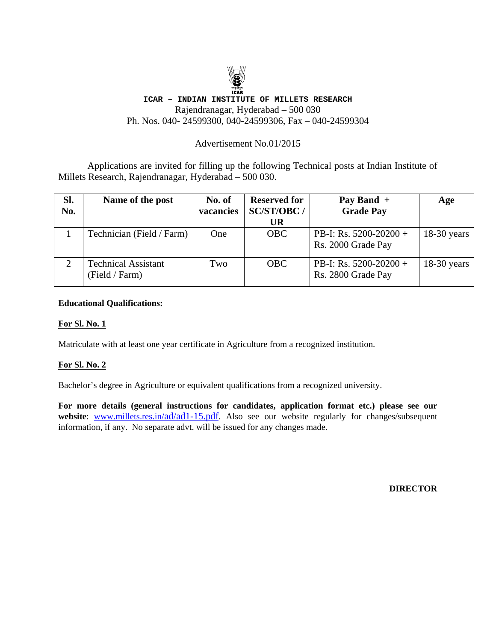## **TEAR ICAR – INDIAN INSTITUTE OF MILLETS RESEARCH** Rajendranagar, Hyderabad – 500 030 Ph. Nos. 040- 24599300, 040-24599306, Fax – 040-24599304

# Advertisement No.01/2015

 Applications are invited for filling up the following Technical posts at Indian Institute of Millets Research, Rajendranagar, Hyderabad – 500 030.

| SI.<br>No. | Name of the post                             | No. of<br>vacancies | <b>Reserved for</b><br>SC/ST/OBC/ | Pay Band $+$<br><b>Grade Pay</b>               | Age           |
|------------|----------------------------------------------|---------------------|-----------------------------------|------------------------------------------------|---------------|
|            |                                              |                     | UR                                |                                                |               |
|            | Technician (Field / Farm)                    | One                 | <b>OBC</b>                        | PB-I: Rs. $5200-20200 +$<br>Rs. 2000 Grade Pay | $18-30$ years |
|            | <b>Technical Assistant</b><br>(Field / Farm) | Two                 | <b>OBC</b>                        | PB-I: Rs. $5200-20200+$<br>Rs. 2800 Grade Pay  | $18-30$ years |

#### **Educational Qualifications:**

### **For Sl. No. 1**

Matriculate with at least one year certificate in Agriculture from a recognized institution.

### **For Sl. No. 2**

Bachelor's degree in Agriculture or equivalent qualifications from a recognized university.

**For more details (general instructions for candidates, application format etc.) please see our**  website: www.millets.res.in/ad/ad1-15.pdf. Also see our website regularly for changes/subsequent information, if any. No separate advt. will be issued for any changes made.

**DIRECTOR**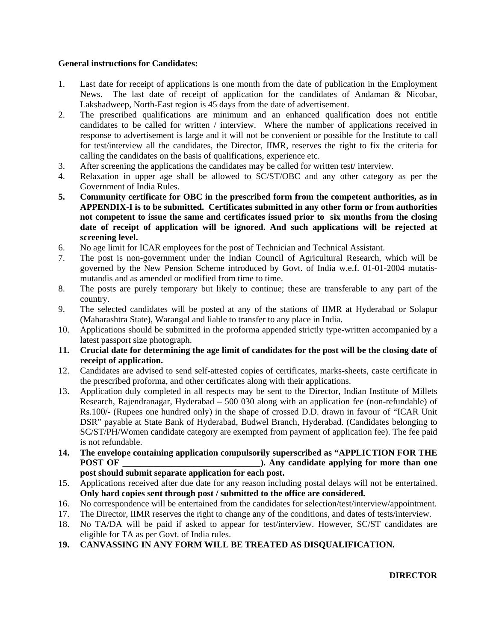### **General instructions for Candidates:**

- 1. Last date for receipt of applications is one month from the date of publication in the Employment News. The last date of receipt of application for the candidates of Andaman & Nicobar, Lakshadweep, North-East region is 45 days from the date of advertisement.
- 2. The prescribed qualifications are minimum and an enhanced qualification does not entitle candidates to be called for written / interview. Where the number of applications received in response to advertisement is large and it will not be convenient or possible for the Institute to call for test/interview all the candidates, the Director, IIMR, reserves the right to fix the criteria for calling the candidates on the basis of qualifications, experience etc.
- 3. After screening the applications the candidates may be called for written test/ interview.
- 4. Relaxation in upper age shall be allowed to SC/ST/OBC and any other category as per the Government of India Rules.
- **5. Community certificate for OBC in the prescribed form from the competent authorities, as in APPENDIX-I is to be submitted. Certificates submitted in any other form or from authorities not competent to issue the same and certificates issued prior to six months from the closing date of receipt of application will be ignored. And such applications will be rejected at screening level.**
- 6. No age limit for ICAR employees for the post of Technician and Technical Assistant.
- 7. The post is non-government under the Indian Council of Agricultural Research, which will be governed by the New Pension Scheme introduced by Govt. of India w.e.f. 01-01-2004 mutatismutandis and as amended or modified from time to time.
- 8. The posts are purely temporary but likely to continue; these are transferable to any part of the country.
- 9. The selected candidates will be posted at any of the stations of IIMR at Hyderabad or Solapur (Maharashtra State), Warangal and liable to transfer to any place in India.
- 10. Applications should be submitted in the proforma appended strictly type-written accompanied by a latest passport size photograph.
- **11. Crucial date for determining the age limit of candidates for the post will be the closing date of receipt of application.**
- 12. Candidates are advised to send self-attested copies of certificates, marks-sheets, caste certificate in the prescribed proforma, and other certificates along with their applications.
- 13. Application duly completed in all respects may be sent to the Director, Indian Institute of Millets Research, Rajendranagar, Hyderabad – 500 030 along with an application fee (non-refundable) of Rs.100/- (Rupees one hundred only) in the shape of crossed D.D. drawn in favour of "ICAR Unit DSR" payable at State Bank of Hyderabad, Budwel Branch, Hyderabad. (Candidates belonging to SC/ST/PH/Women candidate category are exempted from payment of application fee). The fee paid is not refundable.
- **14. The envelope containing application compulsorily superscribed as "APPLICTION FOR THE POST OF**   $\bullet$  **POST OF**  $\bullet$  **). Any candidate applying for more than one post should submit separate application for each post.**
- 15. Applications received after due date for any reason including postal delays will not be entertained. **Only hard copies sent through post / submitted to the office are considered.**
- 16. No correspondence will be entertained from the candidates for selection/test/interview/appointment.
- 17. The Director, IIMR reserves the right to change any of the conditions, and dates of tests/interview.
- 18. No TA/DA will be paid if asked to appear for test/interview. However, SC/ST candidates are eligible for TA as per Govt. of India rules.
- **19. CANVASSING IN ANY FORM WILL BE TREATED AS DISQUALIFICATION.**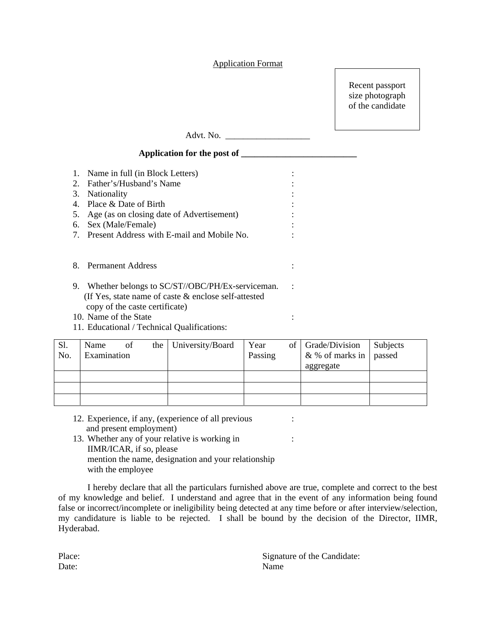#### Application Format

Recent passport size photograph of the candidate

Advt. No. \_\_\_\_\_\_\_\_\_\_\_\_\_\_\_\_\_\_\_

# **Application for the post of \_\_\_\_\_\_\_\_\_\_\_\_\_\_\_\_\_\_\_\_\_\_\_\_\_\_**

|    | 1. Name in full (in Block Letters)              |  |
|----|-------------------------------------------------|--|
|    | 2. Father's/Husband's Name                      |  |
| 3. | <b>Nationality</b>                              |  |
|    | 4. Place & Date of Birth                        |  |
|    | 5. Age (as on closing date of Advertisement)    |  |
| 6. | Sex (Male/Female)                               |  |
|    | 7. Present Address with E-mail and Mobile No.   |  |
|    |                                                 |  |
| 8. | <b>Permanent Address</b>                        |  |
| 9. | Whether belongs to SC/ST//OBC/PH/Ex-serviceman. |  |

- (If Yes, state name of caste & enclose self-attested copy of the caste certificate)
- 10. Name of the State : :
- 11. Educational / Technical Qualifications:

| S1. | Name        | of | the University/Board | Year    | of Grade/Division        | Subjects |
|-----|-------------|----|----------------------|---------|--------------------------|----------|
| No. | Examination |    |                      | Passing | & % of marks in   passed |          |
|     |             |    |                      |         | aggregate                |          |
|     |             |    |                      |         |                          |          |
|     |             |    |                      |         |                          |          |
|     |             |    |                      |         |                          |          |

- 12. Experience, if any, (experience of all previous : and present employment)
- 13. Whether any of your relative is working in : IIMR/ICAR, if so, please mention the name, designation and your relationship with the employee

 I hereby declare that all the particulars furnished above are true, complete and correct to the best of my knowledge and belief. I understand and agree that in the event of any information being found false or incorrect/incomplete or ineligibility being detected at any time before or after interview/selection, my candidature is liable to be rejected. I shall be bound by the decision of the Director, IIMR, Hyderabad.

| Place: | Signat |
|--------|--------|
| Date:  | Name   |

Signature of the Candidate: